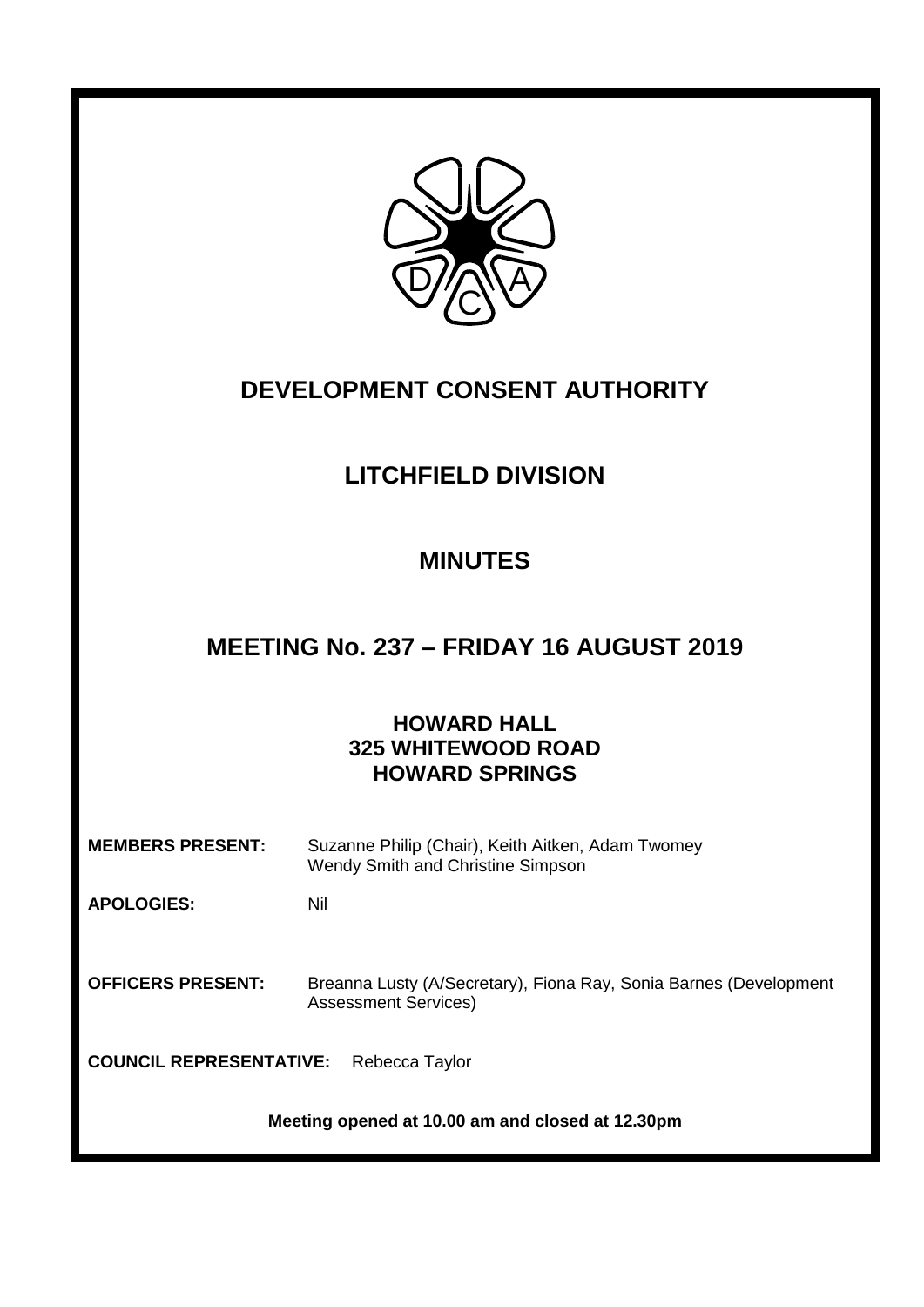

# **DEVELOPMENT CONSENT AUTHORITY**

# **LITCHFIELD DIVISION**

## **MINUTES**

## **MEETING No. 237 – FRIDAY 16 AUGUST 2019**

## **HOWARD HALL 325 WHITEWOOD ROAD HOWARD SPRINGS**

| <b>MEMBERS PRESENT:</b> | Suzanne Philip (Chair), Keith Aitken, Adam Twomey |
|-------------------------|---------------------------------------------------|
|                         | Wendy Smith and Christine Simpson                 |

**APOLOGIES:** Nil

**OFFICERS PRESENT:** Breanna Lusty (A/Secretary), Fiona Ray, Sonia Barnes (Development Assessment Services)

**COUNCIL REPRESENTATIVE:** Rebecca Taylor

**Meeting opened at 10.00 am and closed at 12.30pm**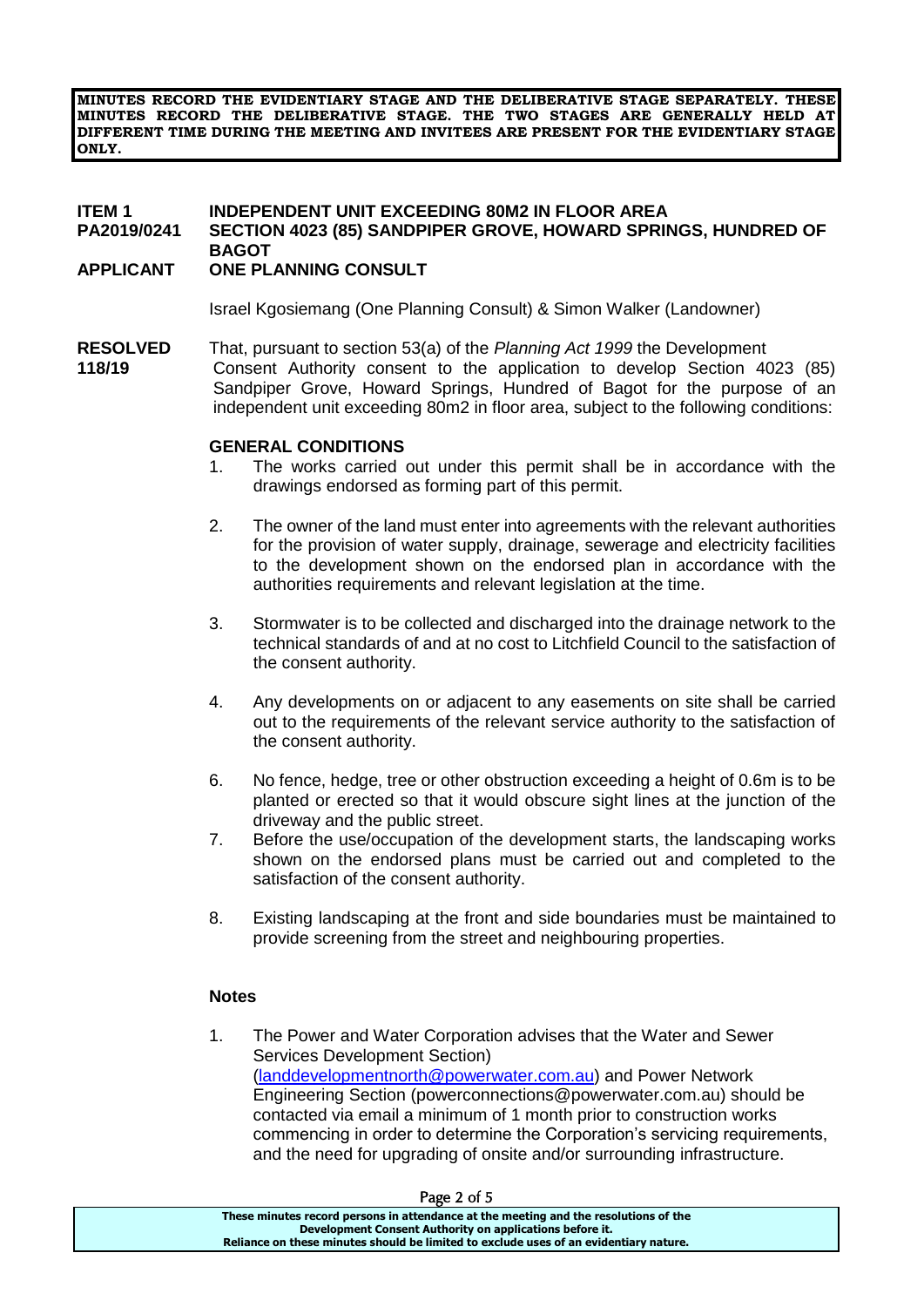**MINUTES RECORD THE EVIDENTIARY STAGE AND THE DELIBERATIVE STAGE SEPARATELY. THESE MINUTES RECORD THE DELIBERATIVE STAGE. THE TWO STAGES ARE GENERALLY HELD AT DIFFERENT TIME DURING THE MEETING AND INVITEES ARE PRESENT FOR THE EVIDENTIARY STAGE ONLY.**

#### **ITEM 1 INDEPENDENT UNIT EXCEEDING 80M2 IN FLOOR AREA PA2019/0241 SECTION 4023 (85) SANDPIPER GROVE, HOWARD SPRINGS, HUNDRED OF BAGOT**

### **APPLICANT ONE PLANNING CONSULT**

Israel Kgosiemang (One Planning Consult) & Simon Walker (Landowner)

**RESOLVED** That, pursuant to section 53(a) of the *Planning Act 1999* the Development **118/19** Consent Authority consent to the application to develop Section 4023 (85) Sandpiper Grove, Howard Springs, Hundred of Bagot for the purpose of an independent unit exceeding 80m2 in floor area, subject to the following conditions:

#### **GENERAL CONDITIONS**

- 1. The works carried out under this permit shall be in accordance with the drawings endorsed as forming part of this permit.
- 2. The owner of the land must enter into agreements with the relevant authorities for the provision of water supply, drainage, sewerage and electricity facilities to the development shown on the endorsed plan in accordance with the authorities requirements and relevant legislation at the time.
- 3. Stormwater is to be collected and discharged into the drainage network to the technical standards of and at no cost to Litchfield Council to the satisfaction of the consent authority.
- 4. Any developments on or adjacent to any easements on site shall be carried out to the requirements of the relevant service authority to the satisfaction of the consent authority.
- 6. No fence, hedge, tree or other obstruction exceeding a height of 0.6m is to be planted or erected so that it would obscure sight lines at the junction of the driveway and the public street.
- 7. Before the use/occupation of the development starts, the landscaping works shown on the endorsed plans must be carried out and completed to the satisfaction of the consent authority.
- 8. Existing landscaping at the front and side boundaries must be maintained to provide screening from the street and neighbouring properties.

#### **Notes**

1. The Power and Water Corporation advises that the Water and Sewer Services Development Section) [\(landdevelopmentnorth@powerwater.com.au\)](mailto:landdevelopmentnorth@powerwater.com.au) and Power Network Engineering Section (powerconnections@powerwater.com.au) should be contacted via email a minimum of 1 month prior to construction works commencing in order to determine the Corporation's servicing requirements, and the need for upgrading of onsite and/or surrounding infrastructure.

| rage 2 01 5                                                                           |  |
|---------------------------------------------------------------------------------------|--|
| These minutes record persons in attendance at the meeting and the resolutions of the  |  |
| Development Consent Authority on applications before it.                              |  |
| Reliance on these minutes should be limited to exclude uses of an evidentiary nature. |  |

#### $P_{2002}$  2 of  $5$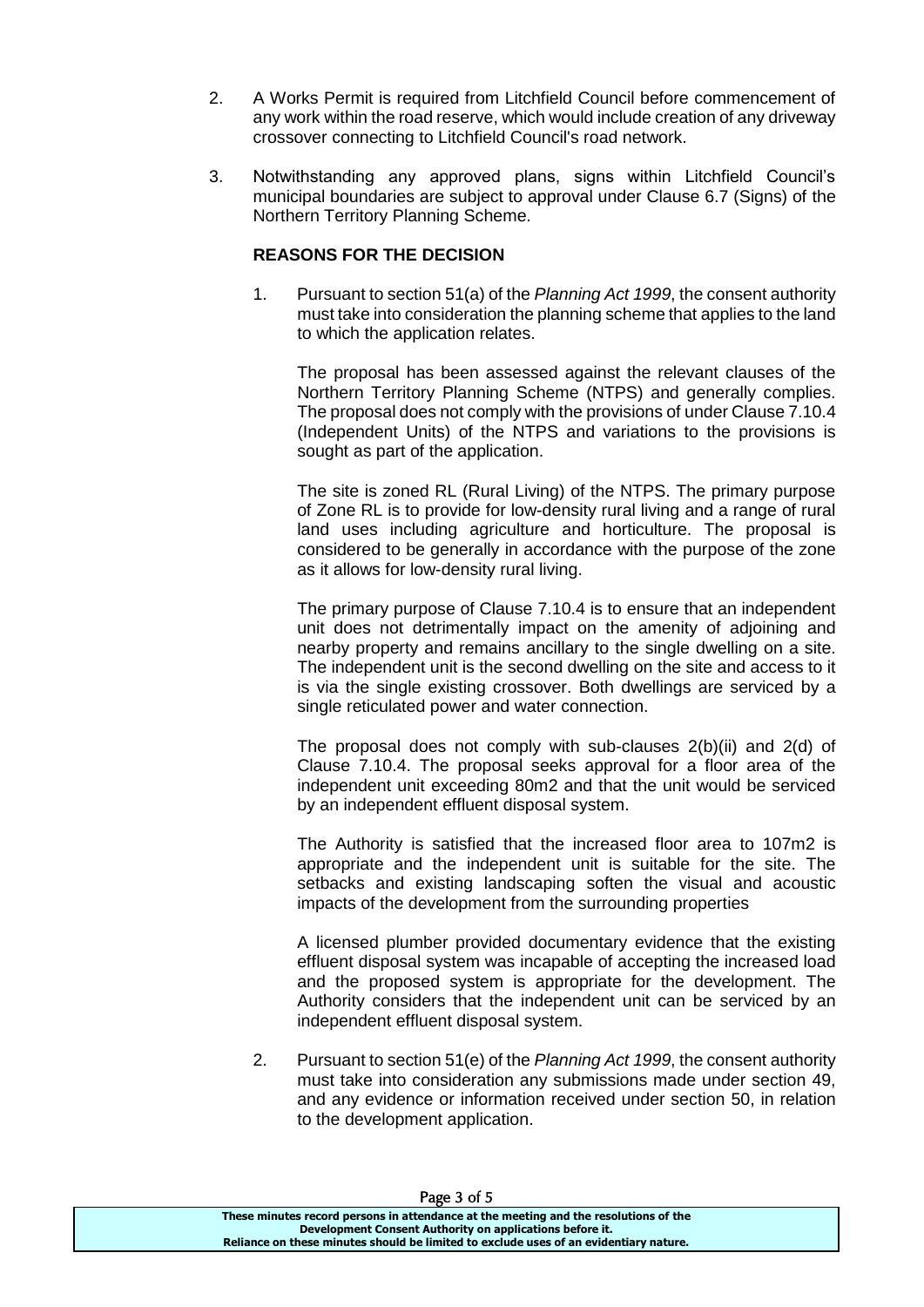- 2. A Works Permit is required from Litchfield Council before commencement of any work within the road reserve, which would include creation of any driveway crossover connecting to Litchfield Council's road network.
- 3. Notwithstanding any approved plans, signs within Litchfield Council's municipal boundaries are subject to approval under Clause 6.7 (Signs) of the Northern Territory Planning Scheme.

### **REASONS FOR THE DECISION**

1. Pursuant to section 51(a) of the *Planning Act 1999*, the consent authority must take into consideration the planning scheme that applies to the land to which the application relates.

The proposal has been assessed against the relevant clauses of the Northern Territory Planning Scheme (NTPS) and generally complies. The proposal does not comply with the provisions of under Clause 7.10.4 (Independent Units) of the NTPS and variations to the provisions is sought as part of the application.

The site is zoned RL (Rural Living) of the NTPS. The primary purpose of Zone RL is to provide for low-density rural living and a range of rural land uses including agriculture and horticulture. The proposal is considered to be generally in accordance with the purpose of the zone as it allows for low-density rural living.

The primary purpose of Clause 7.10.4 is to ensure that an independent unit does not detrimentally impact on the amenity of adjoining and nearby property and remains ancillary to the single dwelling on a site. The independent unit is the second dwelling on the site and access to it is via the single existing crossover. Both dwellings are serviced by a single reticulated power and water connection.

The proposal does not comply with sub-clauses 2(b)(ii) and 2(d) of Clause 7.10.4. The proposal seeks approval for a floor area of the independent unit exceeding 80m2 and that the unit would be serviced by an independent effluent disposal system.

The Authority is satisfied that the increased floor area to 107m2 is appropriate and the independent unit is suitable for the site. The setbacks and existing landscaping soften the visual and acoustic impacts of the development from the surrounding properties

A licensed plumber provided documentary evidence that the existing effluent disposal system was incapable of accepting the increased load and the proposed system is appropriate for the development. The Authority considers that the independent unit can be serviced by an independent effluent disposal system.

2. Pursuant to section 51(e) of the *Planning Act 1999*, the consent authority must take into consideration any submissions made under section 49, and any evidence or information received under section 50, in relation to the development application.

| Page 3 of 5                                                                           |
|---------------------------------------------------------------------------------------|
| These minutes record persons in attendance at the meeting and the resolutions of the  |
| Development Consent Authority on applications before it.                              |
| Reliance on these minutes should be limited to exclude uses of an evidentiary nature. |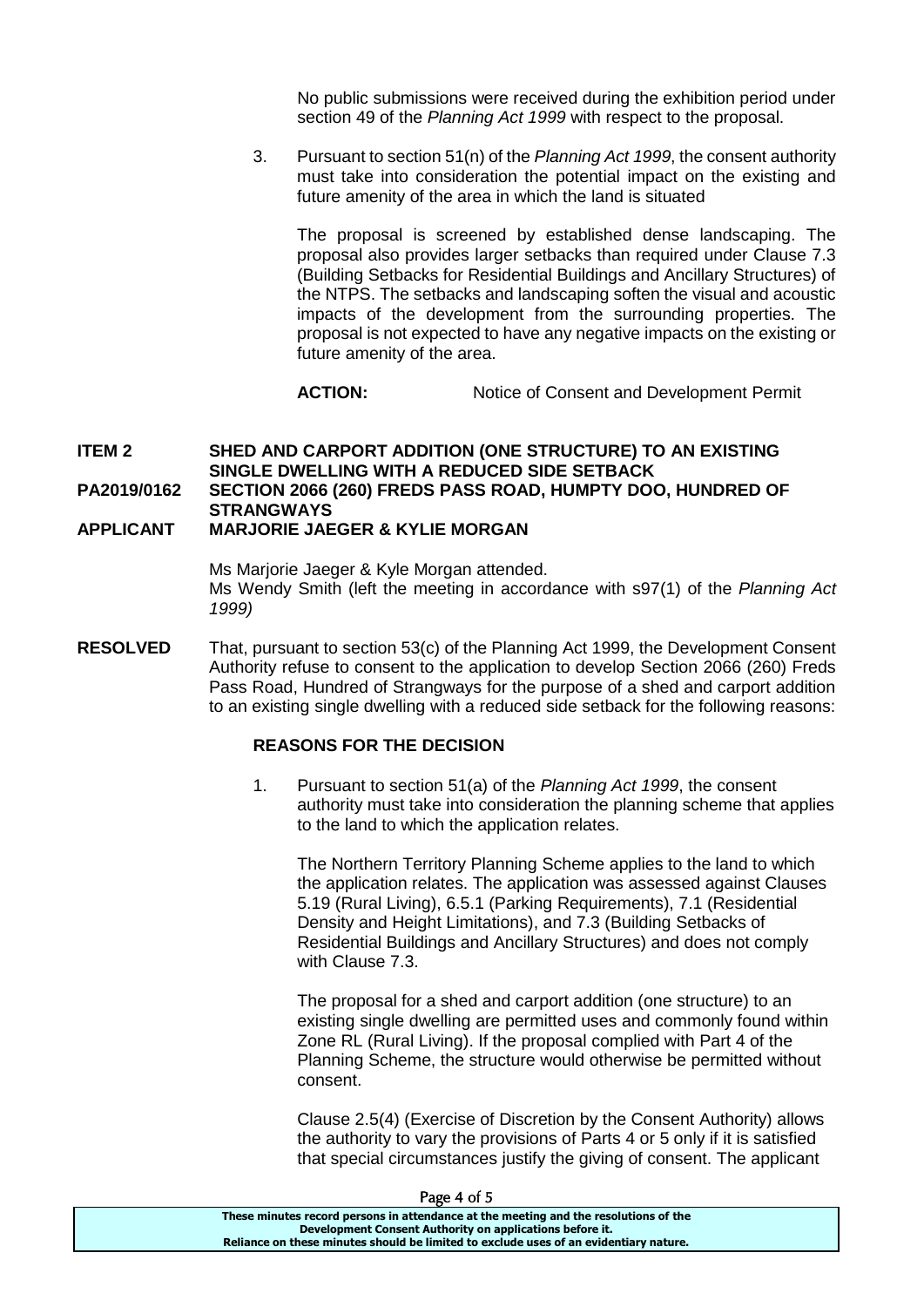No public submissions were received during the exhibition period under section 49 of the *Planning Act 1999* with respect to the proposal.

3. Pursuant to section 51(n) of the *Planning Act 1999*, the consent authority must take into consideration the potential impact on the existing and future amenity of the area in which the land is situated

The proposal is screened by established dense landscaping. The proposal also provides larger setbacks than required under Clause 7.3 (Building Setbacks for Residential Buildings and Ancillary Structures) of the NTPS. The setbacks and landscaping soften the visual and acoustic impacts of the development from the surrounding properties. The proposal is not expected to have any negative impacts on the existing or future amenity of the area.

**ACTION:** Notice of Consent and Development Permit

### **ITEM 2 SHED AND CARPORT ADDITION (ONE STRUCTURE) TO AN EXISTING SINGLE DWELLING WITH A REDUCED SIDE SETBACK PA2019/0162 SECTION 2066 (260) FREDS PASS ROAD, HUMPTY DOO, HUNDRED OF STRANGWAYS**

#### **APPLICANT MARJORIE JAEGER & KYLIE MORGAN**

Ms Marjorie Jaeger & Kyle Morgan attended. Ms Wendy Smith (left the meeting in accordance with s97(1) of the *Planning Act 1999)*

**RESOLVED** That, pursuant to section 53(c) of the Planning Act 1999, the Development Consent Authority refuse to consent to the application to develop Section 2066 (260) Freds Pass Road, Hundred of Strangways for the purpose of a shed and carport addition to an existing single dwelling with a reduced side setback for the following reasons:

#### **REASONS FOR THE DECISION**

1. Pursuant to section 51(a) of the *Planning Act 1999*, the consent authority must take into consideration the planning scheme that applies to the land to which the application relates.

The Northern Territory Planning Scheme applies to the land to which the application relates. The application was assessed against Clauses 5.19 (Rural Living), 6.5.1 (Parking Requirements), 7.1 (Residential Density and Height Limitations), and 7.3 (Building Setbacks of Residential Buildings and Ancillary Structures) and does not comply with Clause 7.3.

The proposal for a shed and carport addition (one structure) to an existing single dwelling are permitted uses and commonly found within Zone RL (Rural Living). If the proposal complied with Part 4 of the Planning Scheme, the structure would otherwise be permitted without consent.

Clause 2.5(4) (Exercise of Discretion by the Consent Authority) allows the authority to vary the provisions of Parts 4 or 5 only if it is satisfied that special circumstances justify the giving of consent. The applicant

| rage 4 OLD                                                                            |
|---------------------------------------------------------------------------------------|
| These minutes record persons in attendance at the meeting and the resolutions of the  |
| Development Consent Authority on applications before it.                              |
| Reliance on these minutes should be limited to exclude uses of an evidentiary nature. |
|                                                                                       |

#### $P_{2}$ ge 4 of  $5$